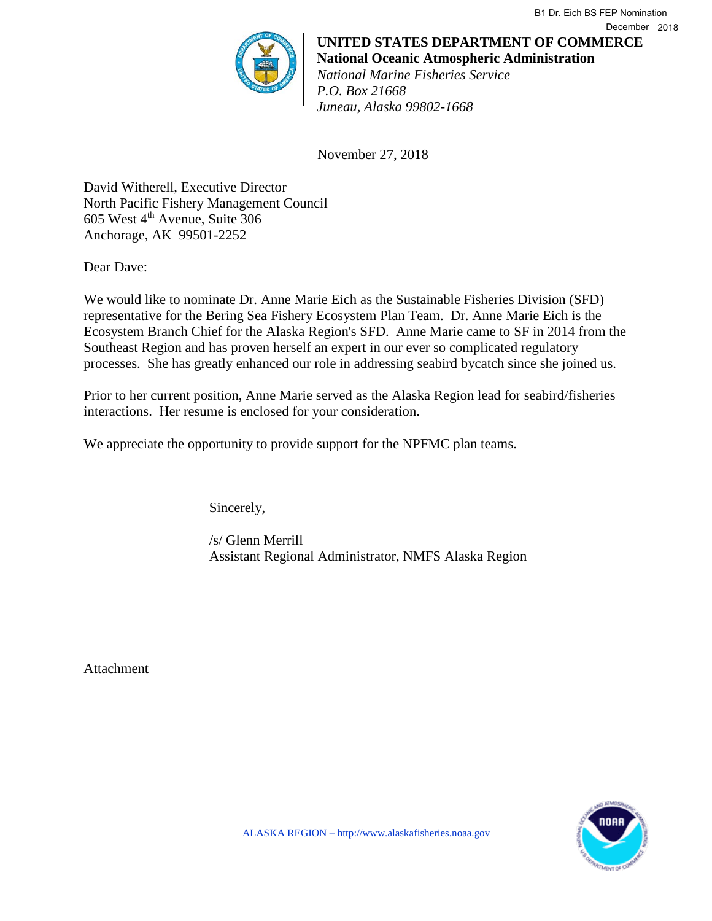**UNITED STATES DEPARTMENT OF COMMERCE National Oceanic Atmospheric Administration** *National Marine Fisheries Service P.O. Box 21668 Juneau, Alaska 99802-1668* December 2018

B1 Dr. Eich BS FEP Nomination

November 27, 2018

David Witherell, Executive Director North Pacific Fishery Management Council  $605$  West  $4<sup>th</sup>$  Avenue, Suite 306 Anchorage, AK 99501-2252

Dear Dave:

We would like to nominate Dr. Anne Marie Eich as the Sustainable Fisheries Division (SFD) representative for the Bering Sea Fishery Ecosystem Plan Team. Dr. Anne Marie Eich is the Ecosystem Branch Chief for the Alaska Region's SFD. Anne Marie came to SF in 2014 from the Southeast Region and has proven herself an expert in our ever so complicated regulatory processes. She has greatly enhanced our role in addressing seabird bycatch since she joined us.

Prior to her current position, Anne Marie served as the Alaska Region lead for seabird/fisheries interactions. Her resume is enclosed for your consideration.

We appreciate the opportunity to provide support for the NPFMC plan teams.

Sincerely,

/s/ Glenn Merrill Assistant Regional Administrator, NMFS Alaska Region

Attachment

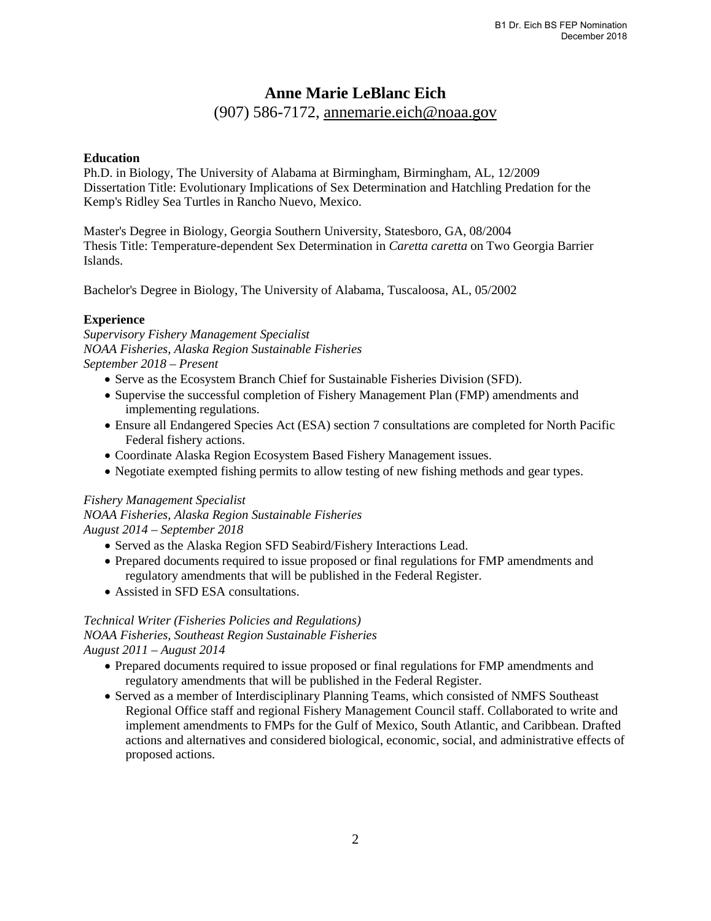# **Anne Marie LeBlanc Eich**

(907) 586-7172, annemarie.eich@noaa.gov

#### **Education**

Ph.D. in Biology, The University of Alabama at Birmingham, Birmingham, AL, 12/2009 Dissertation Title: Evolutionary Implications of Sex Determination and Hatchling Predation for the Kemp's Ridley Sea Turtles in Rancho Nuevo, Mexico.

Master's Degree in Biology, Georgia Southern University, Statesboro, GA, 08/2004 Thesis Title: Temperature-dependent Sex Determination in *Caretta caretta* on Two Georgia Barrier Islands.

Bachelor's Degree in Biology, The University of Alabama, Tuscaloosa, AL, 05/2002

### **Experience**

*Supervisory Fishery Management Specialist NOAA Fisheries, Alaska Region Sustainable Fisheries September 2018 – Present*

- Serve as the Ecosystem Branch Chief for Sustainable Fisheries Division (SFD).
- Supervise the successful completion of Fishery Management Plan (FMP) amendments and implementing regulations.
- Ensure all Endangered Species Act (ESA) section 7 consultations are completed for North Pacific Federal fishery actions.
- Coordinate Alaska Region Ecosystem Based Fishery Management issues.
- Negotiate exempted fishing permits to allow testing of new fishing methods and gear types.

# *Fishery Management Specialist*

*NOAA Fisheries, Alaska Region Sustainable Fisheries August 2014 – September 2018* 

- Served as the Alaska Region SFD Seabird/Fishery Interactions Lead.
- Prepared documents required to issue proposed or final regulations for FMP amendments and regulatory amendments that will be published in the Federal Register.
- Assisted in SFD ESA consultations.

## *Technical Writer (Fisheries Policies and Regulations)*

*NOAA Fisheries, Southeast Region Sustainable Fisheries*

*August 2011 – August 2014* 

- Prepared documents required to issue proposed or final regulations for FMP amendments and regulatory amendments that will be published in the Federal Register.
- Served as a member of Interdisciplinary Planning Teams, which consisted of NMFS Southeast Regional Office staff and regional Fishery Management Council staff. Collaborated to write and implement amendments to FMPs for the Gulf of Mexico, South Atlantic, and Caribbean. Drafted actions and alternatives and considered biological, economic, social, and administrative effects of proposed actions.